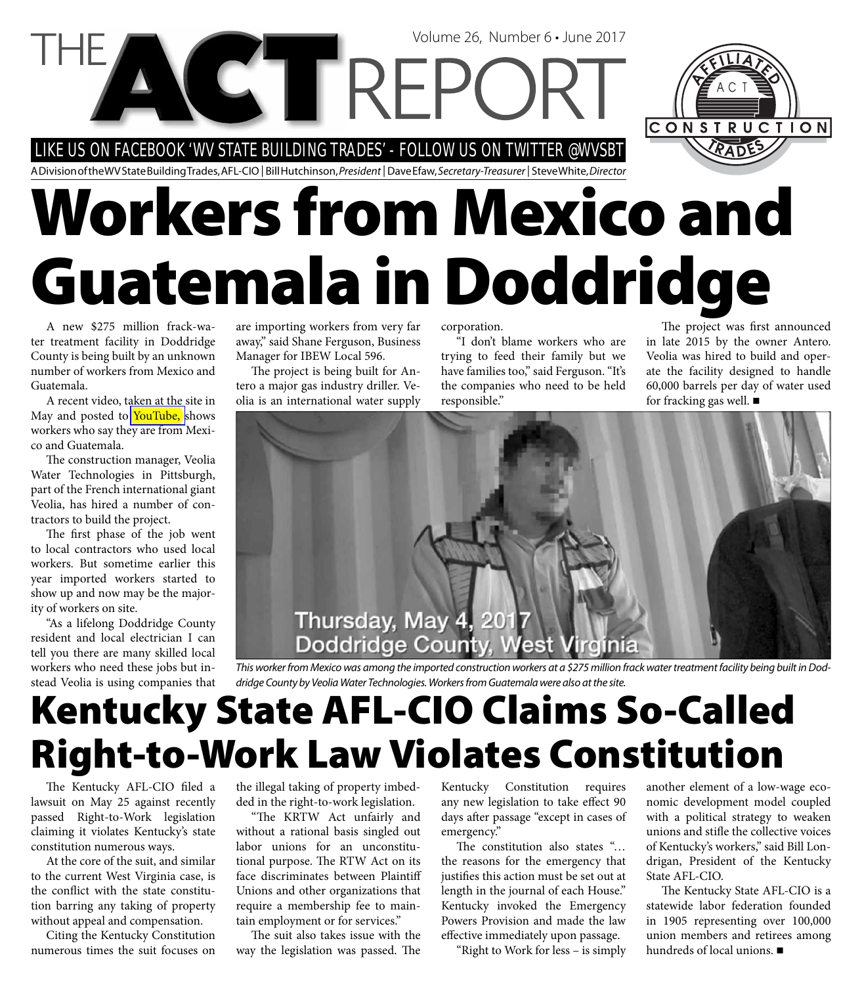LIKE US ON FACEBOOK 'WV STATE BUILDING TRADES' - FOLLOW US ON TWITTER @WVSBT

A Division of the WV State Building Trades, AFL-CIO | Bill Hutchinson, President | Dave Efaw, Secretary-Treasurer | Steve White, Director

# **Workers from Mexico and Guatemala in Doddridge**

Volume 26, Number 6 • June 2017

A new \$275 million frack-water treatment facility in Doddridge County is being built by an unknown number of workers from Mexico and Guatemala.

A recent video, taken at the site in May and posted to [YouTube,](https://www.youtube.com/watch?v=NsijEsHcfcs) shows workers who say they are from Mexico and Guatemala.

The construction manager, Veolia Water Technologies in Pittsburgh, part of the French international giant Veolia, has hired a number of contractors to build the project.

The first phase of the job went to local contractors who used local workers. But sometime earlier this year imported workers started to show up and now may be the majority of workers on site.

"As a lifelong Doddridge County resident and local electrician I can tell you there are many skilled local workers who need these jobs but instead Veolia is using companies that

are importing workers from very far away," said Shane Ferguson, Business Manager for IBEW Local 596.

The project is being built for Antero a major gas industry driller. Veolia is an international water supply corporation.

"I don't blame workers who are trying to feed their family but we have families too," said Ferguson. "It's the companies who need to be held responsible."

The project was first announced in late 2015 by the owner Antero. Veolia was hired to build and operate the facility designed to handle 60,000 barrels per day of water used for fracking gas well.

CONSTRUCTION



This worker from Mexico was among the imported construction workers at a \$275 million frack water treatment facility being built in Doddridge County by Veolia Water Technologies. Workers from Guatemala were also at the site.

# **Kentucky State AFL-CIO Claims So-Called Right-to-Work Law Violates Constitution**

The Kentucky AFL-CIO filed a lawsuit on May 25 against recently passed Right-to-Work legislation claiming it violates Kentucky's state constitution numerous ways.

At the core of the suit, and similar to the current West Virginia case, is the conflict with the state constitution barring any taking of property without appeal and compensation.

Citing the Kentucky Constitution numerous times the suit focuses on the illegal taking of property imbedded in the right-to-work legislation.

"The KRTW Act unfairly and without a rational basis singled out labor unions for an unconstitutional purpose. The RTW Act on its face discriminates between Plaintiff Unions and other organizations that require a membership fee to maintain employment or for services."

The suit also takes issue with the way the legislation was passed. The Kentucky Constitution requires any new legislation to take effect 90 days after passage "except in cases of emergency."

The constitution also states "... the reasons for the emergency that justifies this action must be set out at length in the journal of each House." Kentucky invoked the Emergency Powers Provision and made the law effective immediately upon passage.

"Right to Work for less – is simply

another element of a low-wage economic development model coupled with a political strategy to weaken unions and stifle the collective voices of Kentucky's workers," said Bill Londrigan, President of the Kentucky State AFL-CIO.

The Kentucky State AFL-CIO is a statewide labor federation founded in 1905 representing over 100,000 union members and retirees among hundreds of local unions.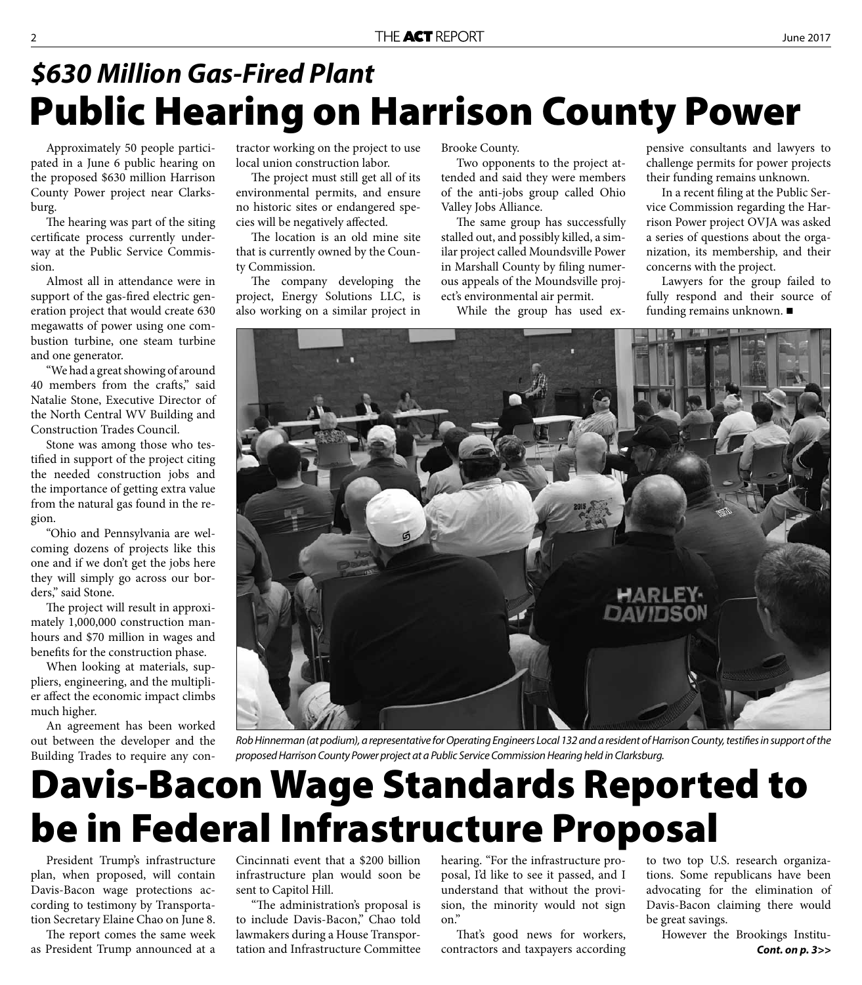### **Public Hearing on Harrison County Power** *\$630 Million Gas-Fired Plant*

Approximately 50 people participated in a June 6 public hearing on the proposed \$630 million Harrison County Power project near Clarksburg.

The hearing was part of the siting certificate process currently underway at the Public Service Commission.

Almost all in attendance were in support of the gas-fired electric generation project that would create 630 megawatts of power using one combustion turbine, one steam turbine and one generator.

"We had a great showing of around 40 members from the crafts," said Natalie Stone, Executive Director of the North Central WV Building and Construction Trades Council.

Stone was among those who testified in support of the project citing the needed construction jobs and the importance of getting extra value from the natural gas found in the region.

"Ohio and Pennsylvania are welcoming dozens of projects like this one and if we don't get the jobs here they will simply go across our borders," said Stone.

The project will result in approximately 1,000,000 construction manhours and \$70 million in wages and benefits for the construction phase.

When looking at materials, suppliers, engineering, and the multiplier affect the economic impact climbs much higher.

An agreement has been worked out between the developer and the Building Trades to require any con-

tractor working on the project to use local union construction labor.

The project must still get all of its environmental permits, and ensure no historic sites or endangered species will be negatively affected.

The location is an old mine site that is currently owned by the County Commission.

The company developing the project, Energy Solutions LLC, is also working on a similar project in

Brooke County.

Two opponents to the project attended and said they were members of the anti-jobs group called Ohio Valley Jobs Alliance.

The same group has successfully stalled out, and possibly killed, a similar project called Moundsville Power in Marshall County by filing numerous appeals of the Moundsville project's environmental air permit.

While the group has used ex-

pensive consultants and lawyers to challenge permits for power projects their funding remains unknown.

In a recent filing at the Public Service Commission regarding the Harrison Power project OVJA was asked a series of questions about the organization, its membership, and their concerns with the project.

Lawyers for the group failed to fully respond and their source of funding remains unknown.



Rob Hinnerman (at podium), a representative for Operating Engineers Local 132 and a resident of Harrison County, testifies in support of the proposed Harrison County Power project at a Public Service Commission Hearing held in Clarksburg.

## **Davis-Bacon Wage Standards Reported to be in Federal Infrastructure Proposal**

President Trump's infrastructure plan, when proposed, will contain Davis-Bacon wage protections according to testimony by Transportation Secretary Elaine Chao on June 8.

The report comes the same week as President Trump announced at a

Cincinnati event that a \$200 billion infrastructure plan would soon be sent to Capitol Hill.

"The administration's proposal is to include Davis-Bacon," Chao told lawmakers during a House Transportation and Infrastructure Committee

hearing. "For the infrastructure proposal, I'd like to see it passed, and I understand that without the provision, the minority would not sign on."

That's good news for workers, contractors and taxpayers according to two top U.S. research organizations. Some republicans have been advocating for the elimination of Davis-Bacon claiming there would be great savings.

However the Brookings Institu- *Cont. on p. 3>>*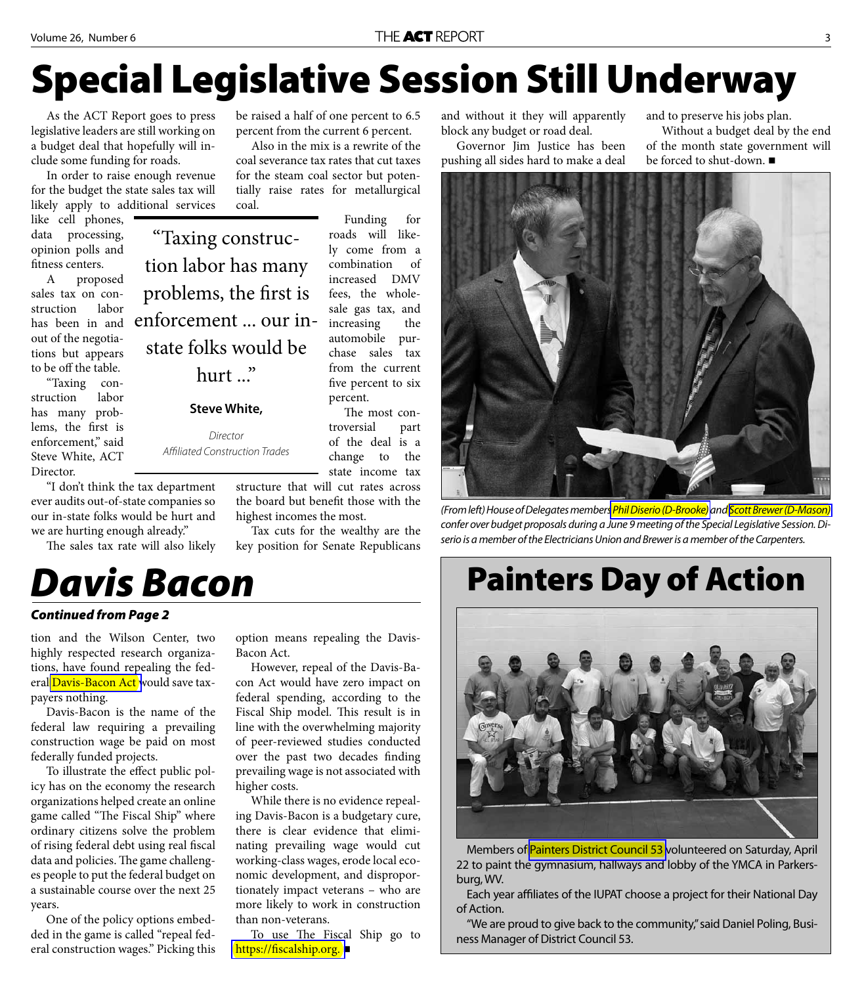# **Special Legislative Session Still Underway**

As the ACT Report goes to press legislative leaders are still working on a budget deal that hopefully will include some funding for roads.

In order to raise enough revenue for the budget the state sales tax will likely apply to additional services

like cell phones, data processing, opinion polls and fitness centers.

A proposed sales tax on construction labor has been in and out of the negotiations but appears to be off the table.

"Taxing construction labor has many problems, the first is enforcement," said Steve White, ACT Director.

"Taxing construction labor has many problems, the first is enforcement ... our instate folks would be hurt ..."

#### **Steve White,**

Director Affiliated Construction Trades

"I don't think the tax department ever audits out-of-state companies so our in-state folks would be hurt and we are hurting enough already."

The sales tax rate will also likely

#### *Davis Bacon*

#### *Continued from Page 2*

tion and the Wilson Center, two highly respected research organizations, have found repealing the fed-eral [Davis-Bacon Act w](https://www.dol.gov/whd/regs/statutes/dbra.htm)ould save taxpayers nothing.

Davis-Bacon is the name of the federal law requiring a prevailing construction wage be paid on most federally funded projects.

To illustrate the effect public policy has on the economy the research organizations helped create an online game called "The Fiscal Ship" where ordinary citizens solve the problem of rising federal debt using real fiscal data and policies. The game challenges people to put the federal budget on a sustainable course over the next 25 years.

One of the policy options embedded in the game is called "repeal federal construction wages." Picking this be raised a half of one percent to 6.5 percent from the current 6 percent.

Also in the mix is a rewrite of the coal severance tax rates that cut taxes for the steam coal sector but potentially raise rates for metallurgical coal.

> Funding for roads will likely come from a combination of increased DMV fees, the wholesale gas tax, and increasing the automobile purchase sales tax from the current five percent to six percent.

The most controversial part of the deal is a change to the state income tax

structure that will cut rates across the board but benefit those with the highest incomes the most.

Tax cuts for the wealthy are the key position for Senate Republicans

option means repealing the Davis-

However, repeal of the Davis-Bacon Act would have zero impact on federal spending, according to the Fiscal Ship model. This result is in line with the overwhelming majority of peer-reviewed studies conducted over the past two decades finding prevailing wage is not associated with

While there is no evidence repealing Davis-Bacon is a budgetary cure, there is clear evidence that eliminating prevailing wage would cut working-class wages, erode local economic development, and disproportionately impact veterans – who are more likely to work in construction

To use The Fiscal Ship go to

Bacon Act.

higher costs.

than non-veterans.

**https://fiscalship.org.** 

and without it they will apparently block any budget or road deal.

Governor Jim Justice has been pushing all sides hard to make a deal and to preserve his jobs plan.

Without a budget deal by the end of the month state government will be forced to shut-down.



(From left) House of Delegates member[s Phil Diserio \(D-Brooke\)](http://www.legis.state.wv.us/House/lawmaker.cfm) and [Scott Brewer \(D-Mason\)](http://www.legis.state.wv.us/House/lawmaker.cfm?member=Delegate%20Brewer)  confer over budget proposals during a June 9 meeting of the Special Legislative Session. Diserio is a member of the Electricians Union and Brewer is a member of the Carpenters.

#### **Painters Day of Action**



Members of [Painters District Council 53 v](http://iupatdc53.org/)olunteered on Saturday, April 22 to paint the gymnasium, hallways and lobby of the YMCA in Parkersburg, WV.

Each year affiliates of the IUPAT choose a project for their National Day of Action.

"We are proud to give back to the community," said Daniel Poling, Business Manager of District Council 53.